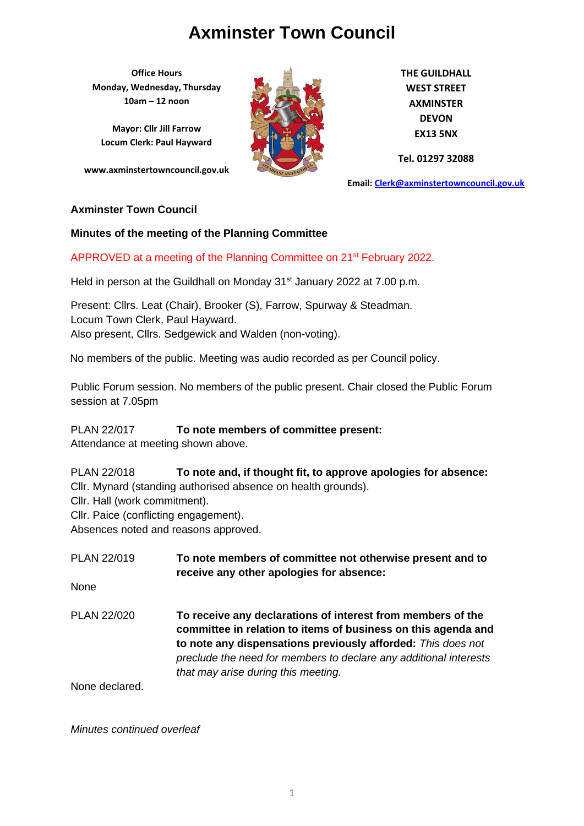**Office Hours Monday, Wednesday, Thursday 10am – 12 noon**

**Mayor: Cllr Jill Farrow Locum Clerk: Paul Hayward**

**www.axminstertowncouncil.gov.uk**



**THE GUILDHALL WEST STREET AXMINSTER DEVON EX13 5NX**

**Tel. 01297 32088**

**Email: [Clerk@axminstertowncouncil.gov.uk](file://///axm-svr-1/company/Templates/Clerk@axminstertowncouncil.gov.uk)**

#### **Axminster Town Council**

#### **Minutes of the meeting of the Planning Committee**

#### APPROVED at a meeting of the Planning Committee on 21<sup>st</sup> February 2022.

**TEL: 01297 32088** Held in person at the Guildhall on Monday 31<sup>st</sup> January 2022 at 7.00 p.m.

Present: Cllrs. Leat (Chair), Brooker (S), Farrow, Spurway & Steadman. Locum Town Clerk, Paul Hayward. Also present, Cllrs. Sedgewick and Walden (non-voting).

No members of the public. Meeting was audio recorded as per Council policy.

Public Forum session. No members of the public present. Chair closed the Public Forum session at 7.05pm

#### PLAN 22/017 **To note members of committee present:**

Attendance at meeting shown above.

PLAN 22/018 **To note and, if thought fit, to approve apologies for absence:** Cllr. Mynard (standing authorised absence on health grounds). Cllr. Hall (work commitment).

Cllr. Paice (conflicting engagement).

Absences noted and reasons approved.

| PLAN 22/019    | To note members of committee not otherwise present and to<br>receive any other apologies for absence:                                                                                                                                                                                                    |
|----------------|----------------------------------------------------------------------------------------------------------------------------------------------------------------------------------------------------------------------------------------------------------------------------------------------------------|
| None           |                                                                                                                                                                                                                                                                                                          |
| PLAN 22/020    | To receive any declarations of interest from members of the<br>committee in relation to items of business on this agenda and<br>to note any dispensations previously afforded: This does not<br>preclude the need for members to declare any additional interests<br>that may arise during this meeting. |
| None declared. |                                                                                                                                                                                                                                                                                                          |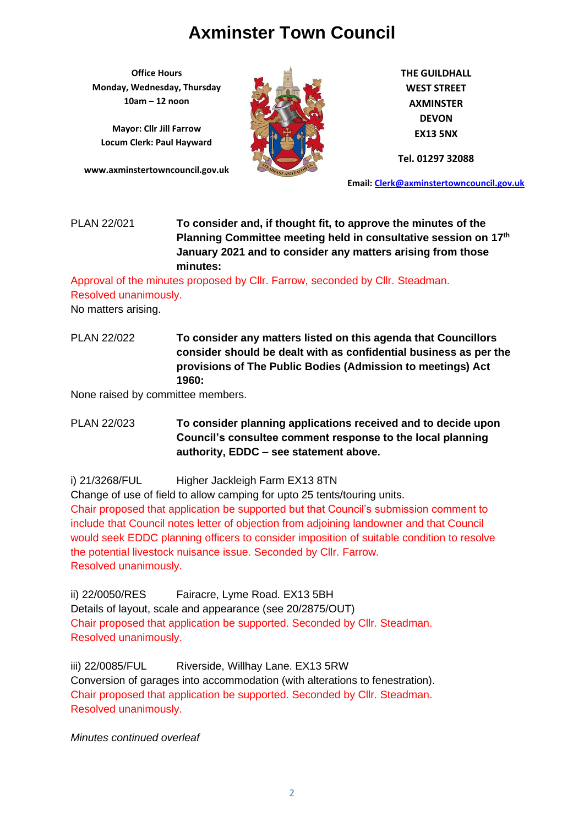**Office Hours Monday, Wednesday, Thursday 10am – 12 noon**

**Mayor: Cllr Jill Farrow Locum Clerk: Paul Hayward**

**www.axminstertowncouncil.gov.uk**



**THE GUILDHALL WEST STREET AXMINSTER DEVON EX13 5NX**

**Tel. 01297 32088**

**Email: [Clerk@axminstertowncouncil.gov.uk](file://///axm-svr-1/company/Templates/Clerk@axminstertowncouncil.gov.uk)**

#### **TEL:** 0297 32088 PLAN 22/021 **To consider and, if thought fit, to approve the minutes of the Planning Committee meeting held in consultative session on 17th January 2021 and to consider any matters arising from those minutes:**

Approval of the minutes proposed by Cllr. Farrow, seconded by Cllr. Steadman. Resolved unanimously.

No matters arising.

PLAN 22/022 **To consider any matters listed on this agenda that Councillors consider should be dealt with as confidential business as per the provisions of The Public Bodies (Admission to meetings) Act 1960:**

None raised by committee members.

PLAN 22/023 **To consider planning applications received and to decide upon Council's consultee comment response to the local planning authority, EDDC – see statement above.**

i) 21/3268/FUL Higher Jackleigh Farm EX13 8TN

Change of use of field to allow camping for upto 25 tents/touring units. Chair proposed that application be supported but that Council's submission comment to include that Council notes letter of objection from adjoining landowner and that Council would seek EDDC planning officers to consider imposition of suitable condition to resolve the potential livestock nuisance issue. Seconded by Cllr. Farrow. Resolved unanimously.

ii) 22/0050/RES Fairacre, Lyme Road. EX13 5BH Details of layout, scale and appearance (see 20/2875/OUT) Chair proposed that application be supported. Seconded by Cllr. Steadman. Resolved unanimously.

iii) 22/0085/FUL Riverside, Willhay Lane. EX13 5RW Conversion of garages into accommodation (with alterations to fenestration). Chair proposed that application be supported. Seconded by Cllr. Steadman. Resolved unanimously.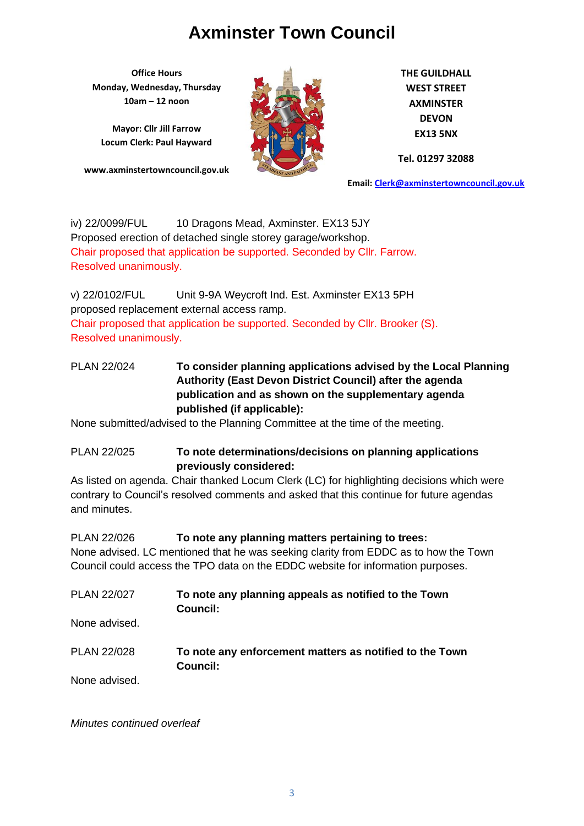**Office Hours Monday, Wednesday, Thursday 10am – 12 noon**

**Mayor: Cllr Jill Farrow Locum Clerk: Paul Hayward**

**www.axminstertowncouncil.gov.uk**



**THE GUILDHALL WEST STREET AXMINSTER DEVON EX13 5NX**

**Tel. 01297 32088**

**Email: [Clerk@axminstertowncouncil.gov.uk](file://///axm-svr-1/company/Templates/Clerk@axminstertowncouncil.gov.uk)**

iv) 22/0099/FUL 10 Dragons Mead, Axminster. EX13 5JY Proposed erection of detached single storey garage/workshop. Chair proposed that application be supported. Seconded by Cllr. Farrow. Resolved unanimously.

v) 22/0102/FUL Unit 9-9A Weycroft Ind. Est. Axminster EX13 5PH proposed replacement external access ramp. Chair proposed that application be supported. Seconded by Cllr. Brooker (S). Resolved unanimously.

## PLAN 22/024 **To consider planning applications advised by the Local Planning Authority (East Devon District Council) after the agenda publication and as shown on the supplementary agenda published (if applicable):**

None submitted/advised to the Planning Committee at the time of the meeting.

PLAN 22/025 **To note determinations/decisions on planning applications previously considered:**

As listed on agenda. Chair thanked Locum Clerk (LC) for highlighting decisions which were contrary to Council's resolved comments and asked that this continue for future agendas and minutes.

PLAN 22/026 **To note any planning matters pertaining to trees:** None advised. LC mentioned that he was seeking clarity from EDDC as to how the Town Council could access the TPO data on the EDDC website for information purposes.

PLAN 22/027 **To note any planning appeals as notified to the Town Council:** None advised. PLAN 22/028 **To note any enforcement matters as notified to the Town Council:** None advised.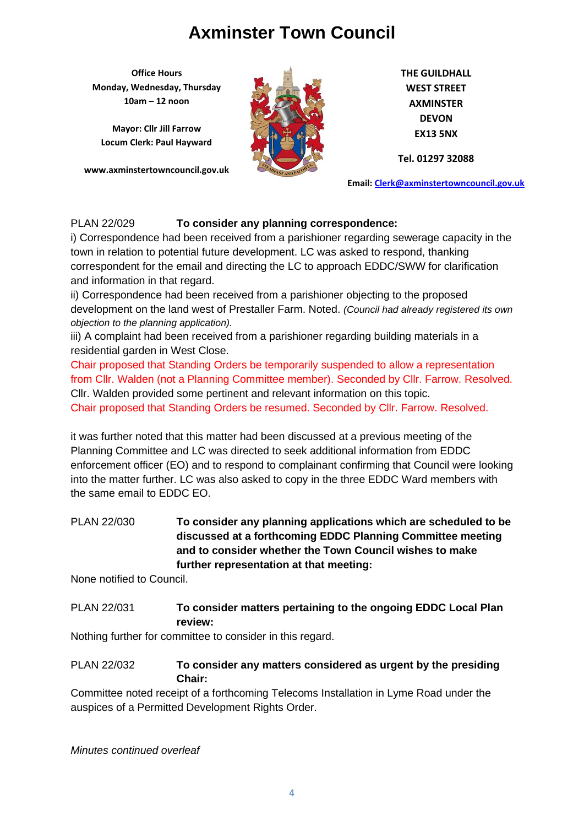**Office Hours Monday, Wednesday, Thursday 10am – 12 noon**

**Mayor: Cllr Jill Farrow Locum Clerk: Paul Hayward**

**www.axminstertowncouncil.gov.uk**



**THE GUILDHALL WEST STREET AXMINSTER DEVON EX13 5NX**

**Tel. 01297 32088**

**Email: [Clerk@axminstertowncouncil.gov.uk](file://///axm-svr-1/company/Templates/Clerk@axminstertowncouncil.gov.uk)**

### PLAN 22/029 **To consider any planning correspondence:**

correspondent for the email and directing the LC to approach EDDC/SWW for clarification i) Correspondence had been received from a parishioner regarding sewerage capacity in the town in relation to potential future development. LC was asked to respond, thanking and information in that regard.

ii) Correspondence had been received from a parishioner objecting to the proposed development on the land west of Prestaller Farm. Noted. *(Council had already registered its own objection to the planning application).*

iii) A complaint had been received from a parishioner regarding building materials in a residential garden in West Close.

Chair proposed that Standing Orders be temporarily suspended to allow a representation from Cllr. Walden (not a Planning Committee member). Seconded by Cllr. Farrow. Resolved. Cllr. Walden provided some pertinent and relevant information on this topic. Chair proposed that Standing Orders be resumed. Seconded by Cllr. Farrow. Resolved.

it was further noted that this matter had been discussed at a previous meeting of the Planning Committee and LC was directed to seek additional information from EDDC enforcement officer (EO) and to respond to complainant confirming that Council were looking into the matter further. LC was also asked to copy in the three EDDC Ward members with the same email to EDDC EO.

PLAN 22/030 **To consider any planning applications which are scheduled to be discussed at a forthcoming EDDC Planning Committee meeting and to consider whether the Town Council wishes to make further representation at that meeting:**

None notified to Council.

## PLAN 22/031 **To consider matters pertaining to the ongoing EDDC Local Plan review:**

Nothing further for committee to consider in this regard.

### PLAN 22/032 **To consider any matters considered as urgent by the presiding Chair:**

Committee noted receipt of a forthcoming Telecoms Installation in Lyme Road under the auspices of a Permitted Development Rights Order.